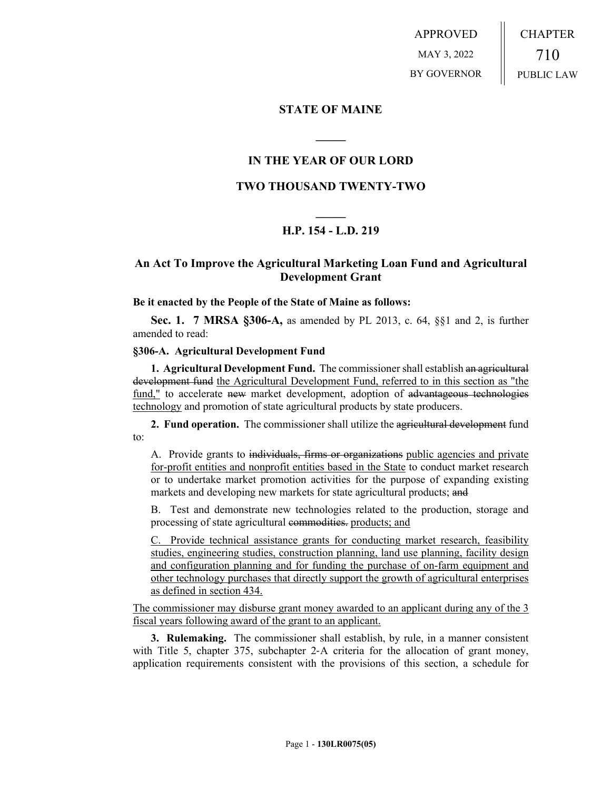APPROVED MAY 3, 2022 BY GOVERNOR CHAPTER 710 PUBLIC LAW

## **STATE OF MAINE**

# **IN THE YEAR OF OUR LORD**

**\_\_\_\_\_**

## **TWO THOUSAND TWENTY-TWO**

# **\_\_\_\_\_ H.P. 154 - L.D. 219**

# **An Act To Improve the Agricultural Marketing Loan Fund and Agricultural Development Grant**

#### **Be it enacted by the People of the State of Maine as follows:**

**Sec. 1. 7 MRSA §306-A,** as amended by PL 2013, c. 64, §§1 and 2, is further amended to read:

## **§306-A. Agricultural Development Fund**

**1. Agricultural Development Fund.** The commissioner shall establish an agricultural development fund the Agricultural Development Fund, referred to in this section as "the fund," to accelerate new market development, adoption of advantageous technologies technology and promotion of state agricultural products by state producers.

**2. Fund operation.** The commissioner shall utilize the agricultural development fund to:

A. Provide grants to individuals, firms or organizations public agencies and private for-profit entities and nonprofit entities based in the State to conduct market research or to undertake market promotion activities for the purpose of expanding existing markets and developing new markets for state agricultural products; and

B. Test and demonstrate new technologies related to the production, storage and processing of state agricultural commodities. products; and

C. Provide technical assistance grants for conducting market research, feasibility studies, engineering studies, construction planning, land use planning, facility design and configuration planning and for funding the purchase of on-farm equipment and other technology purchases that directly support the growth of agricultural enterprises as defined in section 434.

The commissioner may disburse grant money awarded to an applicant during any of the 3 fiscal years following award of the grant to an applicant.

**3. Rulemaking.** The commissioner shall establish, by rule, in a manner consistent with Title 5, chapter 375, subchapter 2–A criteria for the allocation of grant money, application requirements consistent with the provisions of this section, a schedule for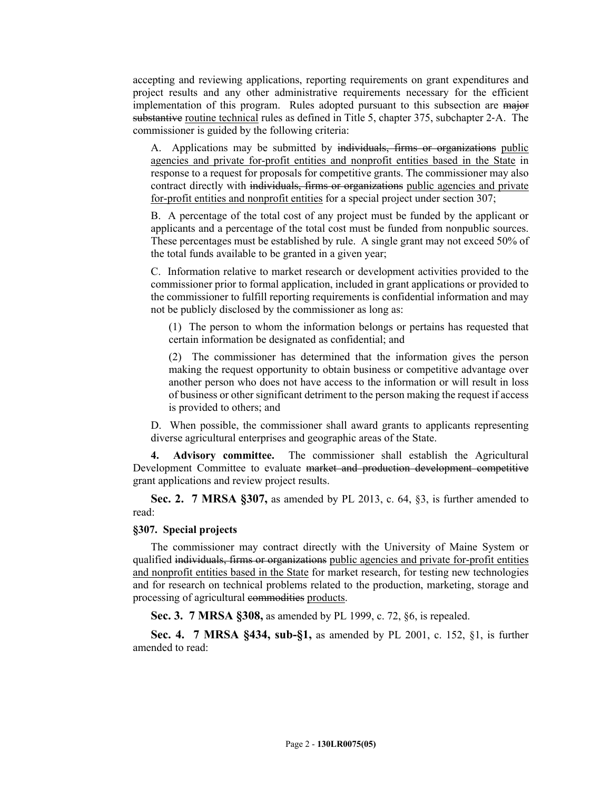accepting and reviewing applications, reporting requirements on grant expenditures and project results and any other administrative requirements necessary for the efficient implementation of this program. Rules adopted pursuant to this subsection are major substantive routine technical rules as defined in Title 5, chapter 375, subchapter 2‑A. The commissioner is guided by the following criteria:

A. Applications may be submitted by individuals, firms or organizations public agencies and private for-profit entities and nonprofit entities based in the State in response to a request for proposals for competitive grants. The commissioner may also contract directly with individuals, firms or organizations public agencies and private for-profit entities and nonprofit entities for a special project under section 307;

B. A percentage of the total cost of any project must be funded by the applicant or applicants and a percentage of the total cost must be funded from nonpublic sources. These percentages must be established by rule. A single grant may not exceed 50% of the total funds available to be granted in a given year;

C. Information relative to market research or development activities provided to the commissioner prior to formal application, included in grant applications or provided to the commissioner to fulfill reporting requirements is confidential information and may not be publicly disclosed by the commissioner as long as:

(1) The person to whom the information belongs or pertains has requested that certain information be designated as confidential; and

(2) The commissioner has determined that the information gives the person making the request opportunity to obtain business or competitive advantage over another person who does not have access to the information or will result in loss of business or other significant detriment to the person making the request if access is provided to others; and

D. When possible, the commissioner shall award grants to applicants representing diverse agricultural enterprises and geographic areas of the State.

**4. Advisory committee.** The commissioner shall establish the Agricultural Development Committee to evaluate market and production development competitive grant applications and review project results.

**Sec. 2. 7 MRSA §307,** as amended by PL 2013, c. 64, §3, is further amended to read:

## **§307. Special projects**

The commissioner may contract directly with the University of Maine System or qualified individuals, firms or organizations public agencies and private for-profit entities and nonprofit entities based in the State for market research, for testing new technologies and for research on technical problems related to the production, marketing, storage and processing of agricultural commodities products.

**Sec. 3. 7 MRSA §308,** as amended by PL 1999, c. 72, §6, is repealed.

**Sec. 4. 7 MRSA §434, sub-§1,** as amended by PL 2001, c. 152, §1, is further amended to read: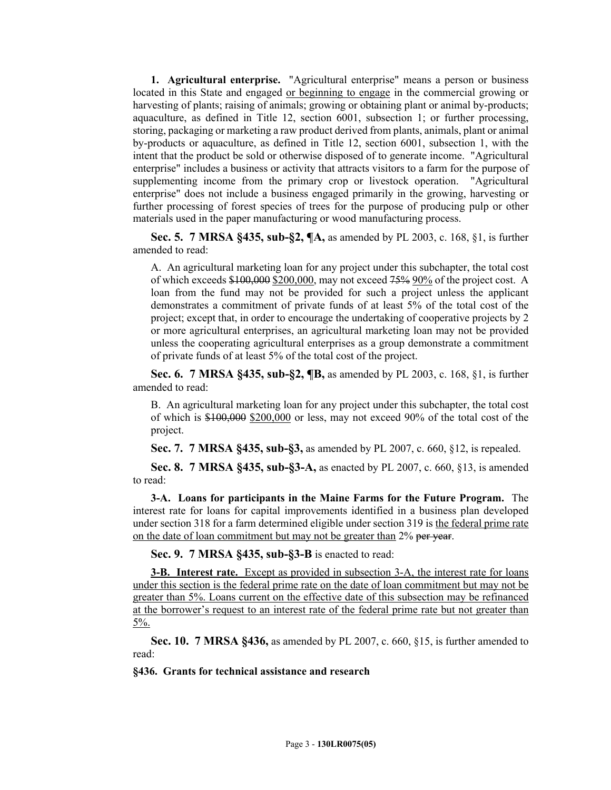**1. Agricultural enterprise.** "Agricultural enterprise" means a person or business located in this State and engaged or beginning to engage in the commercial growing or harvesting of plants; raising of animals; growing or obtaining plant or animal by-products; aquaculture, as defined in Title 12, section 6001, subsection 1; or further processing, storing, packaging or marketing a raw product derived from plants, animals, plant or animal by-products or aquaculture, as defined in Title 12, section 6001, subsection 1, with the intent that the product be sold or otherwise disposed of to generate income. "Agricultural enterprise" includes a business or activity that attracts visitors to a farm for the purpose of supplementing income from the primary crop or livestock operation. "Agricultural enterprise" does not include a business engaged primarily in the growing, harvesting or further processing of forest species of trees for the purpose of producing pulp or other materials used in the paper manufacturing or wood manufacturing process.

**Sec. 5. 7 MRSA §435, sub-§2, ¶A,** as amended by PL 2003, c. 168, §1, is further amended to read:

A. An agricultural marketing loan for any project under this subchapter, the total cost of which exceeds \$100,000 \$200,000, may not exceed 75% 90% of the project cost. A loan from the fund may not be provided for such a project unless the applicant demonstrates a commitment of private funds of at least 5% of the total cost of the project; except that, in order to encourage the undertaking of cooperative projects by 2 or more agricultural enterprises, an agricultural marketing loan may not be provided unless the cooperating agricultural enterprises as a group demonstrate a commitment of private funds of at least 5% of the total cost of the project.

**Sec. 6. 7 MRSA §435, sub-§2, ¶B,** as amended by PL 2003, c. 168, §1, is further amended to read:

B. An agricultural marketing loan for any project under this subchapter, the total cost of which is  $$100,000$   $$200,000$  or less, may not exceed 90% of the total cost of the project.

**Sec. 7. 7 MRSA §435, sub-§3,** as amended by PL 2007, c. 660, §12, is repealed.

**Sec. 8. 7 MRSA §435, sub-§3-A,** as enacted by PL 2007, c. 660, §13, is amended to read:

**3-A. Loans for participants in the Maine Farms for the Future Program.** The interest rate for loans for capital improvements identified in a business plan developed under section 318 for a farm determined eligible under section 319 is the federal prime rate on the date of loan commitment but may not be greater than 2% per year.

**Sec. 9. 7 MRSA §435, sub-§3-B** is enacted to read:

**3-B.** Interest rate. Except as provided in subsection 3-A, the interest rate for loans under this section is the federal prime rate on the date of loan commitment but may not be greater than 5%. Loans current on the effective date of this subsection may be refinanced at the borrower's request to an interest rate of the federal prime rate but not greater than 5%.

**Sec. 10. 7 MRSA §436,** as amended by PL 2007, c. 660, §15, is further amended to read:

**§436. Grants for technical assistance and research**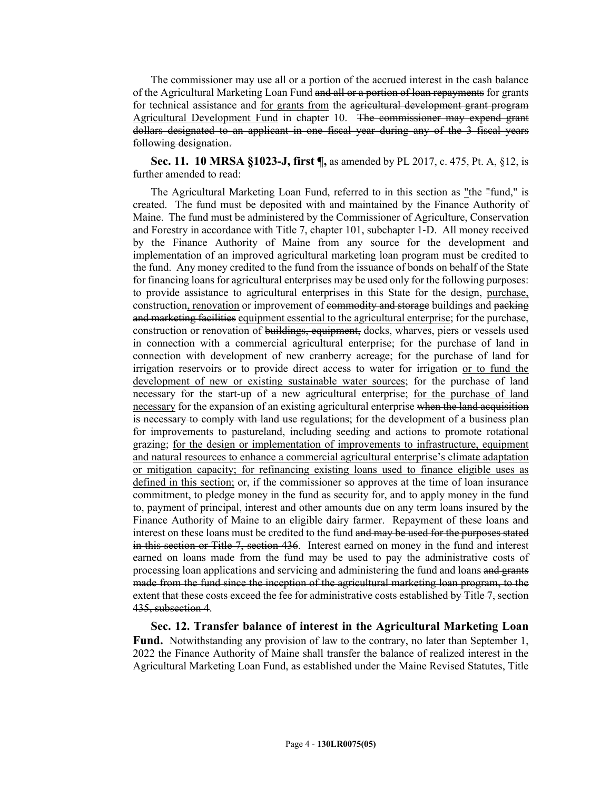The commissioner may use all or a portion of the accrued interest in the cash balance of the Agricultural Marketing Loan Fund and all or a portion of loan repayments for grants for technical assistance and for grants from the agricultural development grant program Agricultural Development Fund in chapter 10. The commissioner may expend grant dollars designated to an applicant in one fiscal year during any of the 3 fiscal years following designation.

**Sec. 11. 10 MRSA §1023-J, first ¶,** as amended by PL 2017, c. 475, Pt. A, §12, is further amended to read:

The Agricultural Marketing Loan Fund, referred to in this section as "the "fund," is created. The fund must be deposited with and maintained by the Finance Authority of Maine. The fund must be administered by the Commissioner of Agriculture, Conservation and Forestry in accordance with Title 7, chapter 101, subchapter 1‑D. All money received by the Finance Authority of Maine from any source for the development and implementation of an improved agricultural marketing loan program must be credited to the fund. Any money credited to the fund from the issuance of bonds on behalf of the State for financing loans for agricultural enterprises may be used only for the following purposes: to provide assistance to agricultural enterprises in this State for the design, purchase, construction, renovation or improvement of commodity and storage buildings and packing and marketing facilities equipment essential to the agricultural enterprise; for the purchase, construction or renovation of buildings, equipment, docks, wharves, piers or vessels used in connection with a commercial agricultural enterprise; for the purchase of land in connection with development of new cranberry acreage; for the purchase of land for irrigation reservoirs or to provide direct access to water for irrigation or to fund the development of new or existing sustainable water sources; for the purchase of land necessary for the start-up of a new agricultural enterprise; for the purchase of land necessary for the expansion of an existing agricultural enterprise when the land acquisition is necessary to comply with land use regulations; for the development of a business plan for improvements to pastureland, including seeding and actions to promote rotational grazing; for the design or implementation of improvements to infrastructure, equipment and natural resources to enhance a commercial agricultural enterprise's climate adaptation or mitigation capacity; for refinancing existing loans used to finance eligible uses as defined in this section; or, if the commissioner so approves at the time of loan insurance commitment, to pledge money in the fund as security for, and to apply money in the fund to, payment of principal, interest and other amounts due on any term loans insured by the Finance Authority of Maine to an eligible dairy farmer. Repayment of these loans and interest on these loans must be credited to the fund and may be used for the purposes stated in this section or Title 7, section 436. Interest earned on money in the fund and interest earned on loans made from the fund may be used to pay the administrative costs of processing loan applications and servicing and administering the fund and loans and grants made from the fund since the inception of the agricultural marketing loan program, to the extent that these costs exceed the fee for administrative costs established by Title 7, section 435, subsection 4.

**Sec. 12. Transfer balance of interest in the Agricultural Marketing Loan Fund.** Notwithstanding any provision of law to the contrary, no later than September 1, 2022 the Finance Authority of Maine shall transfer the balance of realized interest in the Agricultural Marketing Loan Fund, as established under the Maine Revised Statutes, Title